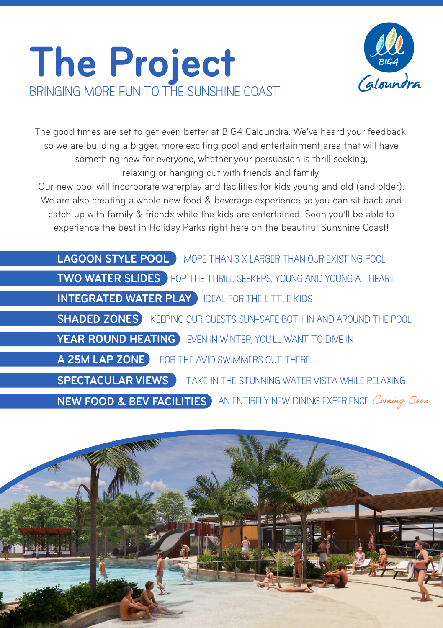## **The Project bringing more fun to the sunshine coast**



The good times are set to get even better at BIG4 Caloundra. We've heard your feedback, so we are building a bigger, more exciting pool and entertainment area that will have something new for everyone, whether your persuasion is thrill seeking, relaxing or hanging out with friends and family.

Our new pool will incorporate waterplay and facilities for kids young and old (and older). We are also creating a whole new food & beverage experience so you can sit back and catch up with family & friends while the kids are entertained. Soon you'll be able to experience the best in Holiday Parks right here on the beautiful Sunshine Coast!

| <b>LAGOON STYLE POOL</b> MORE THAN 3 X LARGER THAN OUR EXISTING POOL               |
|------------------------------------------------------------------------------------|
|                                                                                    |
| TWO WATER SLIDES FOR THE THRILL SEEKERS, YOUNG AND YOUNG AT HEART                  |
| <b>INTEGRATED WATER PLAY DEAL FOR THE LITTLE KIDS</b>                              |
| <b>SHADED ZONES</b> KEEPING OUR GUESTS SUN-SAFE BOTH IN AND AROUND THE POOL        |
| <b>YEAR ROUND HEATING</b> EVEN IN WINTER, YOU'LL WANT TO DIVE IN                   |
| A 25M LAP ZONE FOR THE AVID SWIMMERS OUT THERE                                     |
| <b>SPECTACULAR VIEWS</b> TAKE IN THE STUNNING WATER VISTA WHILE RELAXING           |
| <b>NEW FOOD &amp; BEV FACILITIES</b> AN ENTIRELY NEW DINING EXPERIENCE Coming Soon |